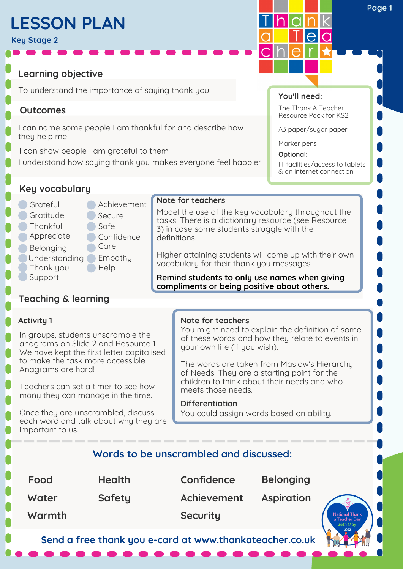# **LESSON PLAN**

**Key Stage 2**

**Learning objective**

To understand the importance of saying thank you

## **Outcomes**

I can name some people I am thankful for and describe how they help me

I can show people I am grateful to them

I understand how saying thank you makes everyone feel happier

**You'll need:**

*Ihlain* 

The Thank A Teacher Resource Pack for KS2.

A3 paper/sugar paper

Marker pens

**Optional:** IT facilities/access to tablets & an internet connection

## **Key vocabulary**

- Grateful **Gratitude Thankful Appreciate Belonging**
- **Achievement** Secure Safe
- Confidence<sup>1</sup> **Care**
- 
- Understanding Empathy
- Thank you **Help**
- **Support**

# **Teaching & learning**

## **Activity 1**

In groups, students unscramble the anagrams on Slide 2 and Resource 1. We have kept the first letter capitalised to make the task more accessible. Anagrams are hard!

Teachers can set a timer to see how many they can manage in the time.

Once they are unscrambled, discuss each word and talk about why they are important to us.

### **Note for teachers**

**Note for teachers**

definitions.

You might need to explain the definition of some of these words and how they relate to events in your own life (if you wish).

Model the use of the key vocabulary throughout the tasks. There is a dictionary resource (see Resource

Higher attaining students will come up with their own

**Remind students to only use names when giving compliments or being positive about others.**

3) in case some students struggle with the

vocabulary for their thank you messages.

The words are taken from Maslow's Hierarchy of Needs. They are a starting point for the children to think about their needs and who meets those needs.

### **Differentiation**

You could assign words based on ability.

## **Words to be unscrambled and discussed:**

**Food Water Warmth Health Safety Security Confidence Belonging Achievement Aspiration**

**Send a free thank you e-card at www.thankateacher.co.uk**

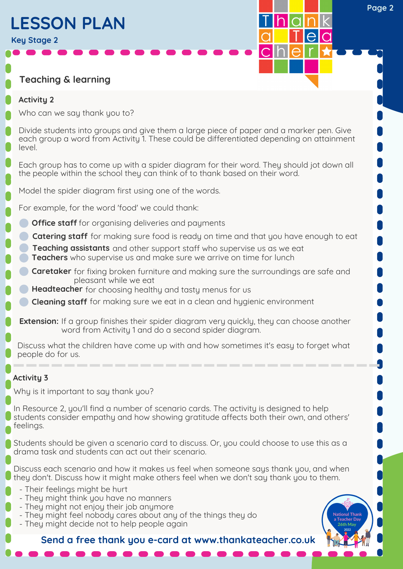# **LESSON PLAN**

**Key Stage 2**

## **Teaching & learning**

### **Activity 2**

Who can we say thank you to?

Divide students into groups and give them a large piece of paper and a marker pen. Give each group a word from Activity 1. These could be differentiated depending on attainment level.

Each group has to come up with a spider diagram for their word. They should jot down all the people within the school they can think of to thank based on their word.

Model the spider diagram first using one of the words.

For example, for the word 'food' we could thank:

- **Office staff** for organising deliveries and payments
- **Catering staff** for making sure food is ready on time and that you have enough to eat
- **Teaching assistants** and other support staff who supervise us as we eat **Teachers** who supervise us and make sure we arrive on time for lunch
- **Caretaker** for fixing broken furniture and making sure the surroundings are safe and pleasant while we eat
- **Headteacher** for choosing healthy and tasty menus for us
- **Cleaning staff** for making sure we eat in a clean and hygienic environment
- **Extension:** If a group finishes their spider diagram very quickly, they can choose another word from Activity 1 and do a second spider diagram.

Discuss what the children have come up with and how sometimes it's easy to forget what people do for us.

## **Activity 3**

Why is it important to say thank you?

In Resource 2, you'll find a number of scenario cards. The activity is designed to help students consider empathy and how showing gratitude affects both their own, and others' feelings.

Students should be given a scenario card to discuss. Or, you could choose to use this as a drama task and students can act out their scenario.

Discuss each scenario and how it makes us feel when someone says thank you, and when they don't. Discuss how it might make others feel when we don't say thank you to them.

- Their feelings might be hurt
- They might think you have no manners
- They might not enjoy their job anymore
- They might feel nobody cares about any of the things they do
- They might decide not to help people again

**Send a free thank you e-card at www.thankateacher.co.uk**



**Page 2**

alaln